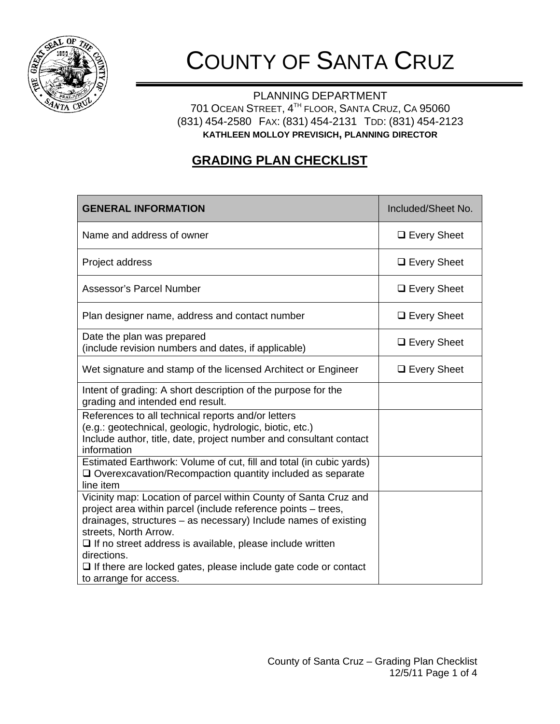

## COUNTY OF SANTA CRUZ

PLANNING DEPARTMENT 701 OCEAN STREET, 4TH FLOOR, SANTA CRUZ, CA 95060 (831) 454-2580 FAX: (831) 454-2131 TDD: (831) 454-2123 **KATHLEEN MOLLOY PREVISICH, PLANNING DIRECTOR**

## **GRADING PLAN CHECKLIST**

| <b>GENERAL INFORMATION</b>                                                                                                                                                                                                                                                                                       | Included/Sheet No. |
|------------------------------------------------------------------------------------------------------------------------------------------------------------------------------------------------------------------------------------------------------------------------------------------------------------------|--------------------|
| Name and address of owner                                                                                                                                                                                                                                                                                        | $\Box$ Every Sheet |
| Project address                                                                                                                                                                                                                                                                                                  | $\Box$ Every Sheet |
| Assessor's Parcel Number                                                                                                                                                                                                                                                                                         | $\Box$ Every Sheet |
| Plan designer name, address and contact number                                                                                                                                                                                                                                                                   | $\Box$ Every Sheet |
| Date the plan was prepared<br>(include revision numbers and dates, if applicable)                                                                                                                                                                                                                                | $\Box$ Every Sheet |
| Wet signature and stamp of the licensed Architect or Engineer                                                                                                                                                                                                                                                    | $\Box$ Every Sheet |
| Intent of grading: A short description of the purpose for the<br>grading and intended end result.                                                                                                                                                                                                                |                    |
| References to all technical reports and/or letters<br>(e.g.: geotechnical, geologic, hydrologic, biotic, etc.)<br>Include author, title, date, project number and consultant contact<br>information                                                                                                              |                    |
| Estimated Earthwork: Volume of cut, fill and total (in cubic yards)<br>$\Box$ Overexcavation/Recompaction quantity included as separate<br>line item                                                                                                                                                             |                    |
| Vicinity map: Location of parcel within County of Santa Cruz and<br>project area within parcel (include reference points - trees,<br>drainages, structures - as necessary) Include names of existing<br>streets, North Arrow.<br>$\Box$ If no street address is available, please include written<br>directions. |                    |
| $\Box$ If there are locked gates, please include gate code or contact<br>to arrange for access.                                                                                                                                                                                                                  |                    |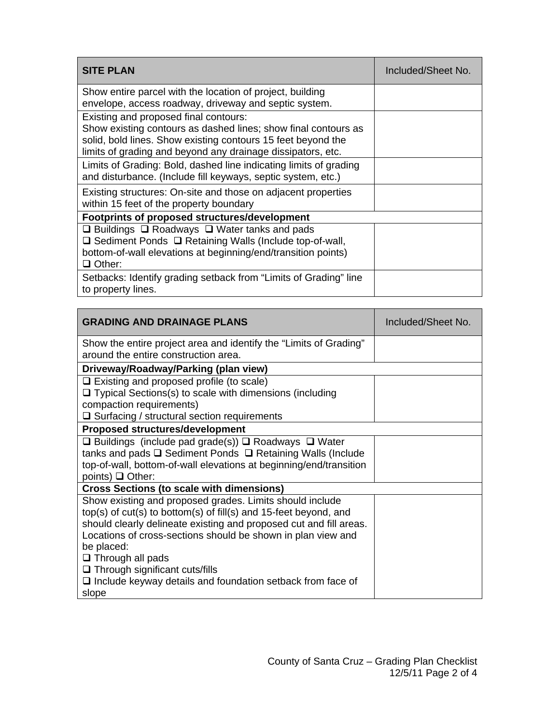| <b>SITE PLAN</b>                                                                                                                                                                                                                       | Included/Sheet No. |
|----------------------------------------------------------------------------------------------------------------------------------------------------------------------------------------------------------------------------------------|--------------------|
| Show entire parcel with the location of project, building<br>envelope, access roadway, driveway and septic system.                                                                                                                     |                    |
| Existing and proposed final contours:<br>Show existing contours as dashed lines; show final contours as<br>solid, bold lines. Show existing contours 15 feet beyond the<br>limits of grading and beyond any drainage dissipators, etc. |                    |
| Limits of Grading: Bold, dashed line indicating limits of grading<br>and disturbance. (Include fill keyways, septic system, etc.)                                                                                                      |                    |
| Existing structures: On-site and those on adjacent properties<br>within 15 feet of the property boundary                                                                                                                               |                    |
| Footprints of proposed structures/development                                                                                                                                                                                          |                    |
| $\Box$ Buildings $\Box$ Roadways $\Box$ Water tanks and pads<br>$\Box$ Sediment Ponds $\Box$ Retaining Walls (Include top-of-wall,<br>bottom-of-wall elevations at beginning/end/transition points)<br>$\Box$ Other:                   |                    |
| Setbacks: Identify grading setback from "Limits of Grading" line<br>to property lines.                                                                                                                                                 |                    |

| <b>GRADING AND DRAINAGE PLANS</b>                                                                                                                                                                                                                                                                                                                                                                                                    | Included/Sheet No. |  |
|--------------------------------------------------------------------------------------------------------------------------------------------------------------------------------------------------------------------------------------------------------------------------------------------------------------------------------------------------------------------------------------------------------------------------------------|--------------------|--|
| Show the entire project area and identify the "Limits of Grading"<br>around the entire construction area.                                                                                                                                                                                                                                                                                                                            |                    |  |
| Driveway/Roadway/Parking (plan view)                                                                                                                                                                                                                                                                                                                                                                                                 |                    |  |
| $\Box$ Existing and proposed profile (to scale)<br>$\Box$ Typical Sections(s) to scale with dimensions (including<br>compaction requirements)<br>$\Box$ Surfacing / structural section requirements                                                                                                                                                                                                                                  |                    |  |
| <b>Proposed structures/development</b>                                                                                                                                                                                                                                                                                                                                                                                               |                    |  |
| $\Box$ Buildings (include pad grade(s)) $\Box$ Roadways $\Box$ Water<br>tanks and pads $\square$ Sediment Ponds $\square$ Retaining Walls (Include<br>top-of-wall, bottom-of-wall elevations at beginning/end/transition<br>points) $\Box$ Other:                                                                                                                                                                                    |                    |  |
| <b>Cross Sections (to scale with dimensions)</b>                                                                                                                                                                                                                                                                                                                                                                                     |                    |  |
| Show existing and proposed grades. Limits should include<br>top(s) of $cut(s)$ to bottom(s) of fill(s) and 15-feet beyond, and<br>should clearly delineate existing and proposed cut and fill areas.<br>Locations of cross-sections should be shown in plan view and<br>be placed:<br>$\Box$ Through all pads<br>$\Box$ Through significant cuts/fills<br>$\Box$ Include keyway details and foundation setback from face of<br>slope |                    |  |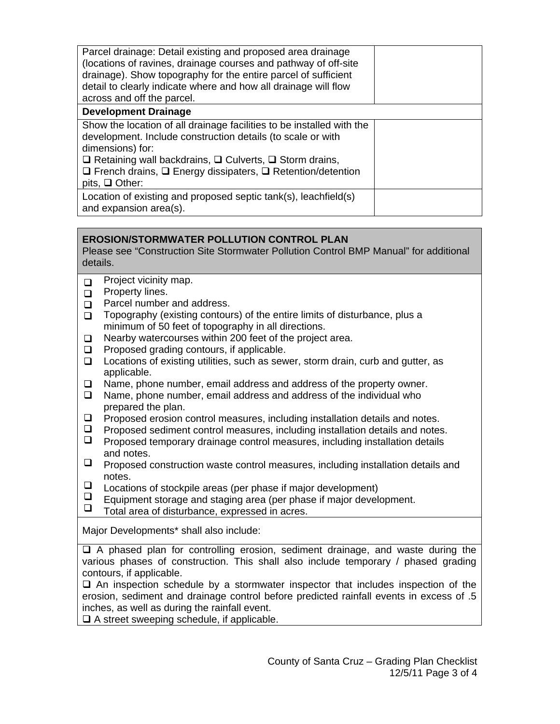| Parcel drainage: Detail existing and proposed area drainage<br>(locations of ravines, drainage courses and pathway of off-site<br>drainage). Show topography for the entire parcel of sufficient<br>detail to clearly indicate where and how all drainage will flow<br>across and off the parcel.                                         |  |
|-------------------------------------------------------------------------------------------------------------------------------------------------------------------------------------------------------------------------------------------------------------------------------------------------------------------------------------------|--|
| <b>Development Drainage</b>                                                                                                                                                                                                                                                                                                               |  |
| Show the location of all drainage facilities to be installed with the<br>development. Include construction details (to scale or with<br>dimensions) for:<br>$\Box$ Retaining wall backdrains, $\Box$ Culverts, $\Box$ Storm drains,<br>$\Box$ French drains, $\Box$ Energy dissipaters, $\Box$ Retention/detention<br>pits, $\Box$ Other: |  |
| Location of existing and proposed septic tank(s), leachfield(s)<br>and expansion area(s).                                                                                                                                                                                                                                                 |  |

## **EROSION/STORMWATER POLLUTION CONTROL PLAN**

Please see "Construction Site Stormwater Pollution Control BMP Manual" for additional details.

- $\Box$  Project vicinity map.
- $\Box$ Property lines.
- $\Box$ Parcel number and address.
- □ Topography (existing contours) of the entire limits of disturbance, plus a minimum of 50 feet of topography in all directions.
- $\Box$ Nearby watercourses within 200 feet of the project area.
- $\Box$ Proposed grading contours, if applicable.
- $\Box$ Locations of existing utilities, such as sewer, storm drain, curb and gutter, as applicable.
- $\Box$ Name, phone number, email address and address of the property owner.
- $\Box$ Name, phone number, email address and address of the individual who prepared the plan.
- $\Box$  Proposed erosion control measures, including installation details and notes.
- $\Box$ Proposed sediment control measures, including installation details and notes.
- $\Box$ Proposed temporary drainage control measures, including installation details and notes.
- $\Box$ Proposed construction waste control measures, including installation details and notes.
- $\Box$ Locations of stockpile areas (per phase if major development)
- $\Box$ Equipment storage and staging area (per phase if major development.
- $\Box$ Total area of disturbance, expressed in acres.

Major Developments\* shall also include:

 $\Box$  A phased plan for controlling erosion, sediment drainage, and waste during the various phases of construction. This shall also include temporary / phased grading contours, if applicable.

 $\Box$  An inspection schedule by a stormwater inspector that includes inspection of the erosion, sediment and drainage control before predicted rainfall events in excess of .5 inches, as well as during the rainfall event.

 $\Box$  A street sweeping schedule, if applicable.